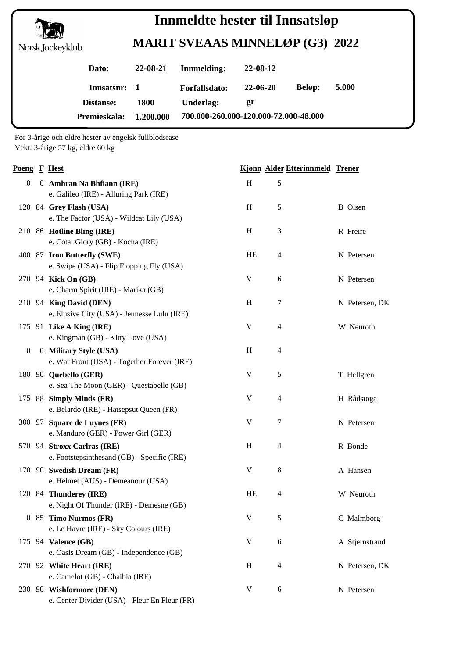

## **MARIT SVEAAS MINNELØP (G3) 2022 Innmeldte hester til Innsatsløp**

| Dato:            | $22 - 08 - 21$ | Innmelding:                           | 22-08-12 |               |       |
|------------------|----------------|---------------------------------------|----------|---------------|-------|
| Innsatsnr: 1     |                | Forfallsdato:                         | 22-06-20 | <b>Beløp:</b> | 5.000 |
| <b>Distanse:</b> | <b>1800</b>    | Underlag:                             | gr       |               |       |
| Premieskala:     | 1.200.000      | 700.000-260.000-120.000-72.000-48.000 |          |               |       |

For 3-årige och eldre hester av engelsk fullblodsrase Vekt: 3-årige 57 kg, eldre 60 kg

| Poeng F Hest     |                                                                            |             | Kjønn Alder Etterinnmeld Trener |                |
|------------------|----------------------------------------------------------------------------|-------------|---------------------------------|----------------|
| $\boldsymbol{0}$ | 0 Amhran Na Bhfiann (IRE)<br>e. Galileo (IRE) - Alluring Park (IRE)        | H           | 5                               |                |
|                  | 120 84 Grey Flash (USA)<br>e. The Factor (USA) - Wildcat Lily (USA)        | H           | 5                               | <b>B</b> Olsen |
|                  | 210 86 Hotline Bling (IRE)<br>e. Cotai Glory (GB) - Kocna (IRE)            | H           | 3                               | R Freire       |
|                  | 400 87 Iron Butterfly (SWE)<br>e. Swipe (USA) - Flip Flopping Fly (USA)    | HE          | 4                               | N Petersen     |
|                  | 270 94 Kick On (GB)<br>e. Charm Spirit (IRE) - Marika (GB)                 | V           | 6                               | N Petersen     |
|                  | 210 94 King David (DEN)<br>e. Elusive City (USA) - Jeunesse Lulu (IRE)     | H           | $\tau$                          | N Petersen, DK |
|                  | 175 91 Like A King (IRE)<br>e. Kingman (GB) - Kitty Love (USA)             | V           | 4                               | W Neuroth      |
| $\bf{0}$         | 0 Military Style (USA)<br>e. War Front (USA) - Together Forever (IRE)      | H           | 4                               |                |
|                  | 180 90 Quebello (GER)<br>e. Sea The Moon (GER) - Questabelle (GB)          | V           | 5                               | T Hellgren     |
|                  | 175 88 Simply Minds (FR)<br>e. Belardo (IRE) - Hatsepsut Queen (FR)        | V           | 4                               | H Rådstoga     |
|                  | 300 97 Square de Luynes (FR)<br>e. Manduro (GER) - Power Girl (GER)        | V           | $\overline{7}$                  | N Petersen     |
|                  | 570 94 Stroxx Carlras (IRE)<br>e. Footstepsinthesand (GB) - Specific (IRE) | H           | 4                               | R Bonde        |
|                  | 170 90 Swedish Dream (FR)<br>e. Helmet (AUS) - Demeanour (USA)             | V           | 8                               | A Hansen       |
|                  | 120 84 Thunderey (IRE)<br>e. Night Of Thunder (IRE) - Demesne (GB)         | HE          | 4                               | W Neuroth      |
|                  | 0 85 Timo Nurmos (FR)<br>e. Le Havre (IRE) - Sky Colours (IRE)             | $\mathbf V$ | 5                               | C Malmborg     |
|                  | 175 94 Valence (GB)<br>e. Oasis Dream (GB) - Independence (GB)             | V           | 6                               | A Stjernstrand |
|                  | 270 92 White Heart (IRE)<br>e. Camelot (GB) - Chaibia (IRE)                | H           | 4                               | N Petersen, DK |
|                  | 230 90 Wishformore (DEN)<br>e. Center Divider (USA) - Fleur En Fleur (FR)  | V           | 6                               | N Petersen     |